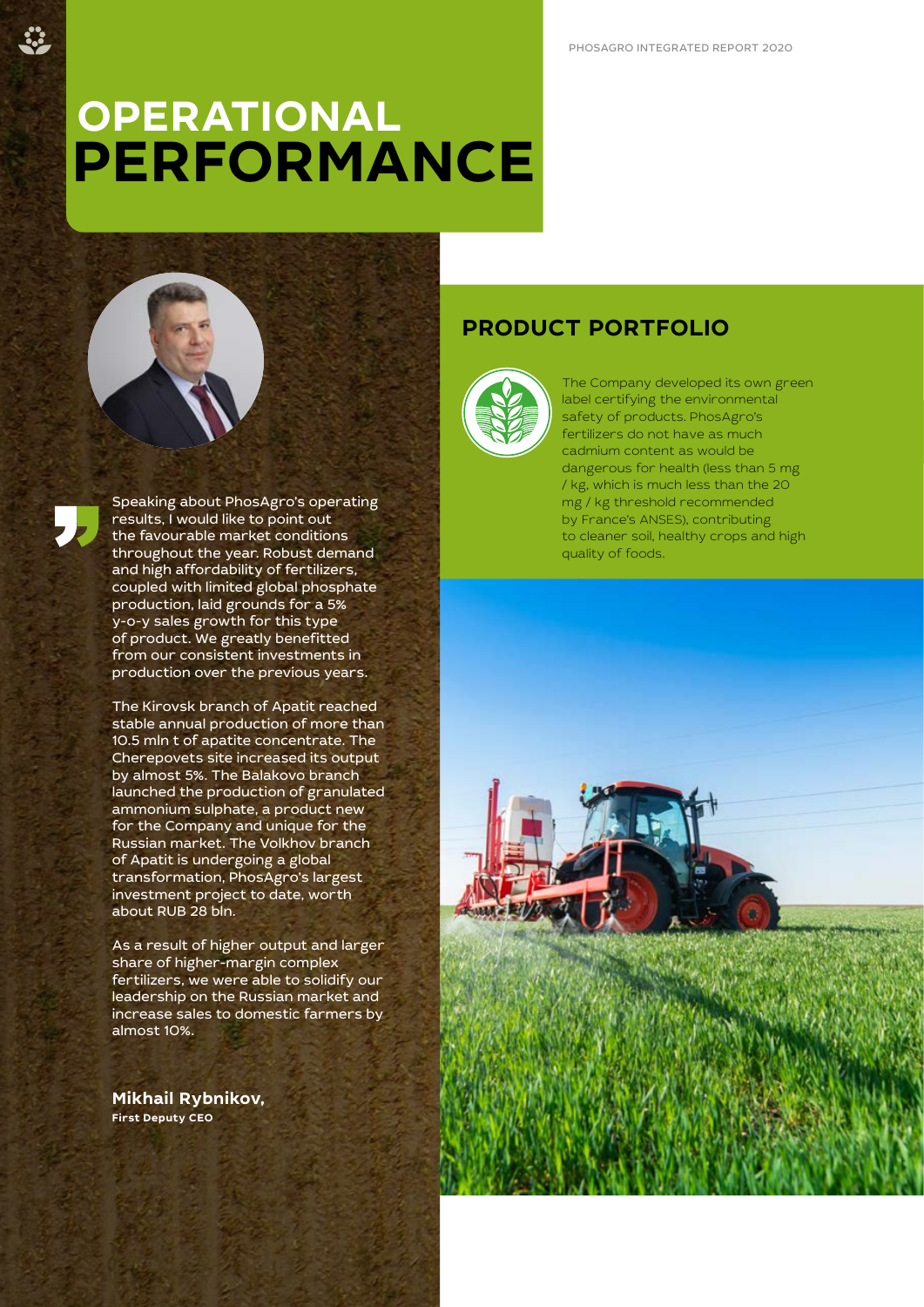# **OPERATIONAL PERFORMANCE**



Speaking about PhosAgro's operating results, I would like to point out the favourable market conditions throughout the year. Robust demand and high affordability of fertilizers, coupled with limited global phosphate production, laid grounds for a 5% y-o-y sales growth for this type of product. We greatly benefitted from our consistent investments in production over the previous years.

The Kirovsk branch of Apatit reached stable annual production of more than 10.5 mln t of apatite concentrate. The Cherepovets site increased its output by almost 5%. The Balakovo branch launched the production of granulated ammonium sulphate, a product new for the Company and unique for the Russian market. The Volkhov branch of Apatit is undergoing a global transformation, PhosAgro's largest investment project to date, worth about RUB 28 bln.

As a result of higher output and larger share of higher-margin complex fertilizers, we were able to solidify our leadership on the Russian market and increase sales to domestic farmers by almost 10%.

**Mikhail Rybnikov, First Deputy CEO**

# **PRODUCT PORTFOLIO**



The Company developed its own green label certifying the environmental safety of products. PhosAgro's fertilizers do not have as much cadmium content as would be dangerous for health (less than 5 mg / kg, which is much less than the 20 mg / kg threshold recommended by France's ANSES), contributing to cleaner soil, healthy crops and high quality of foods.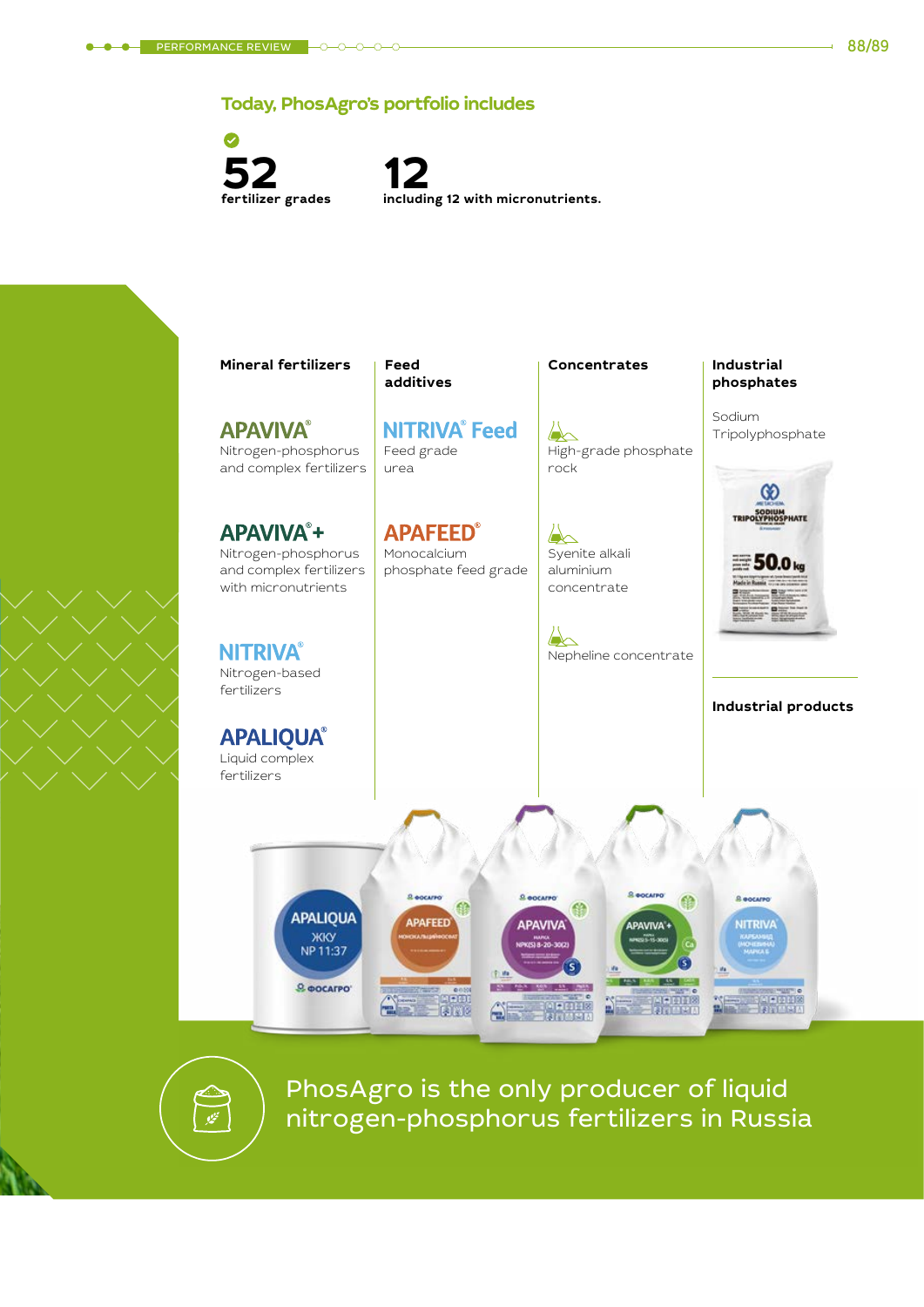## **Today, PhosAgro's portfolio includes**

Ø **52 fertilizer grades**

**12 including 12 with micronutrients.** 



PhosAgro is the only producer of liquid nitrogen-phosphorus fertilizers in Russia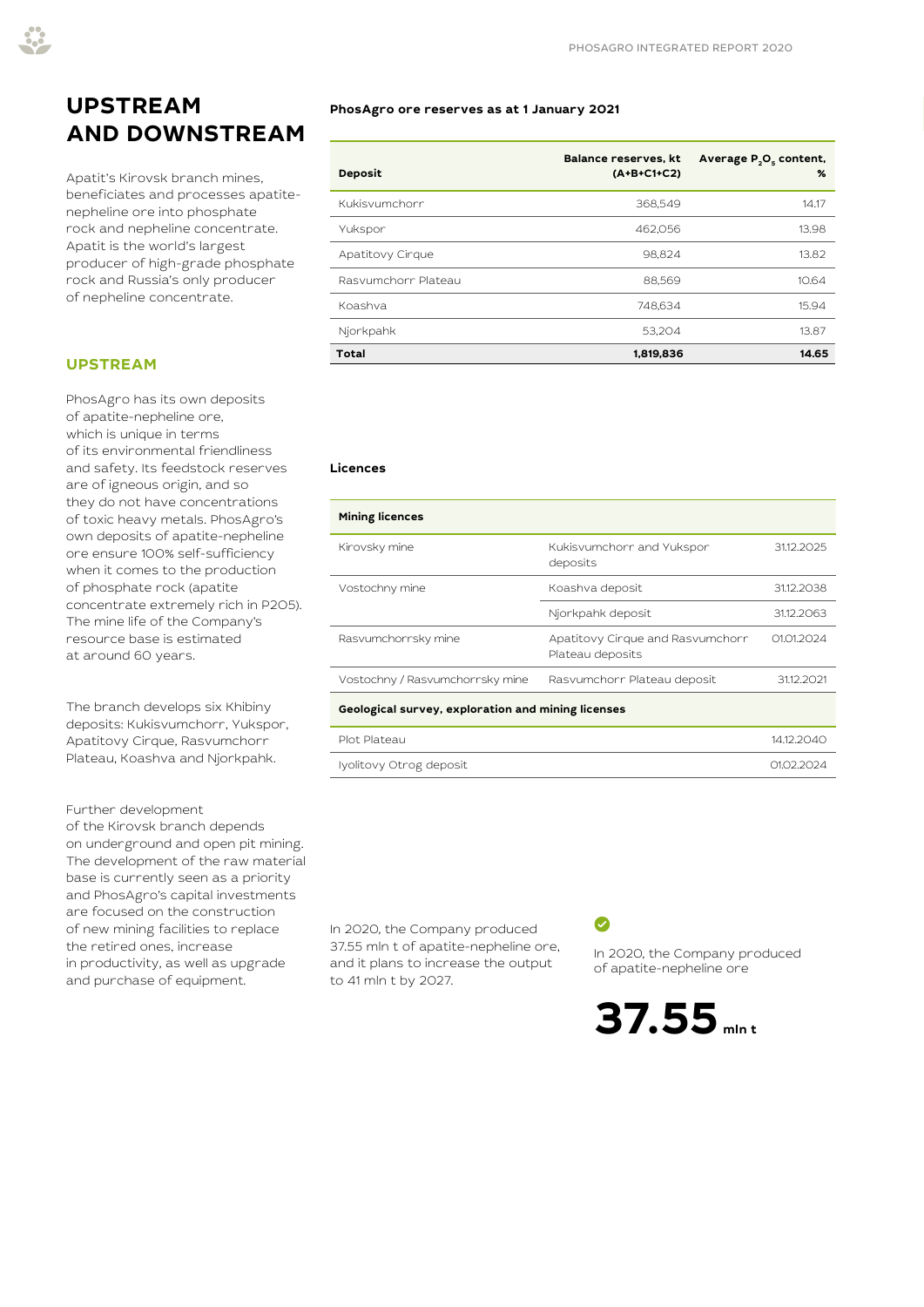# **UPSTREAM AND DOWNSTREAM**

Apatit's Kirovsk branch mines, beneficiates and processes apatitenepheline ore into phosphate rock and nepheline concentrate. Apatit is the world's largest producer of high-grade phosphate rock and Russia's only producer of nepheline concentrate.

### **UPSTREAM**

PhosAgro has its own deposits of apatite-nepheline ore, which is unique in terms of its environmental friendliness and safety. Its feedstock reserves are of igneous origin, and so they do not have concentrations of toxic heavy metals. PhosAgro's own deposits of apatite-nepheline ore ensure 100% self-sufficiency when it comes to the production of phosphate rock (apatite concentrate extremely rich in P2O5). The mine life of the Company's resource base is estimated at around 60 years.

The branch develops six Khibiny deposits: Kukisvumchorr, Yukspor, Apatitovy Cirque, Rasvumchorr Plateau, Koashva and Njorkpahk.

#### Further development

of the Kirovsk branch depends on underground and open pit mining. The development of the raw material base is currently seen as a priority and PhosAgro's capital investments are focused on the construction of new mining facilities to replace the retired ones, increase in productivity, as well as upgrade and purchase of equipment.

#### **PhosAgro ore reserves as at 1 January 2021**

| <b>Deposit</b>      | Balance reserves, kt<br>(A+B+C1+C2) | Average P <sub>2</sub> O <sub>s</sub> content,<br>$\%$ |
|---------------------|-------------------------------------|--------------------------------------------------------|
| Kukisvumchorr       | 368,549                             | 14.17                                                  |
| Yukspor             | 462,056                             | 13.98                                                  |
| Apatitovy Cirque    | 98.824                              | 13.82                                                  |
| Rasvumchorr Plateau | 88.569                              | 10.64                                                  |
| Koashva             | 748,634                             | 15.94                                                  |
| Njorkpahk           | 53.204                              | 13.87                                                  |
| Total               | 1,819,836                           | 14.65                                                  |

#### **Licences**

| <b>Mining licences</b>                             |                                                      |            |  |  |  |  |
|----------------------------------------------------|------------------------------------------------------|------------|--|--|--|--|
| Kirovsky mine                                      | Kukisvumchorr and Yukspor<br>deposits                | 31.12.2025 |  |  |  |  |
| Vostochny mine                                     | Koashva deposit                                      | 31.12.2038 |  |  |  |  |
|                                                    | Njorkpahk deposit                                    | 31.12.2063 |  |  |  |  |
| Rasvumchorrsky mine                                | Apatitovy Cirque and Rasvumchorr<br>Plateau deposits | 01.01.2024 |  |  |  |  |
| Vostochny / Rasvumchorrsky mine                    | Rasvumchorr Plateau deposit                          | 31.12.2021 |  |  |  |  |
| Geological survey, exploration and mining licenses |                                                      |            |  |  |  |  |
| Plot Plateau                                       |                                                      | 14.12.2040 |  |  |  |  |
| Iyolitovy Otrog deposit                            |                                                      | 01.02.2024 |  |  |  |  |

In 2020, the Company produced 37.55 mln t of apatite-nepheline ore, and it plans to increase the output to 41 mln t by 2027.

 $\bullet$ 

In 2020, the Company produced of apatite-nepheline ore

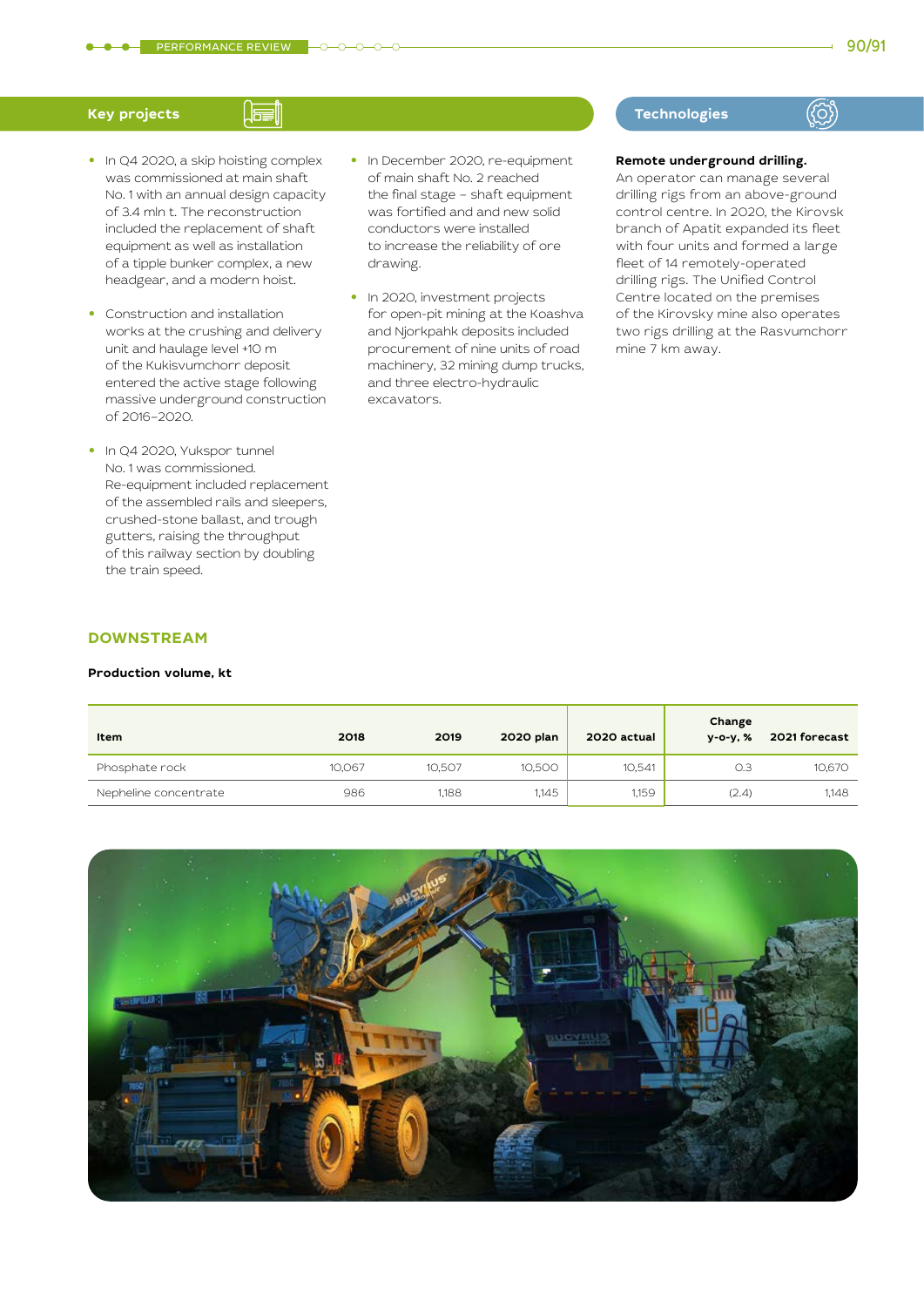- **•** In Q4 2020, a skip hoisting complex was commissioned at main shaft No. 1 with an annual design capacity of 3.4 mln t. The reconstruction included the replacement of shaft equipment as well as installation of a tipple bunker complex, a new headgear, and a modern hoist.
- **•** Construction and installation works at the crushing and delivery unit and haulage level +10 m of the Kukisvumchorr deposit entered the active stage following massive underground construction of 2016–2020.
- **•** In Q4 2020, Yukspor tunnel No. 1 was commissioned. Re-equipment included replacement of the assembled rails and sleepers, crushed-stone ballast, and trough gutters, raising the throughput of this railway section by doubling the train speed.
- **•** In December 2020, re-equipment of main shaft No. 2 reached the final stage – shaft equipment was fortified and and new solid conductors were installed to increase the reliability of ore drawing.
- **•** In 2020, investment projects for open-pit mining at the Koashva and Njorkpahk deposits included procurement of nine units of road machinery, 32 mining dump trucks, and three electro-hydraulic excavators.

#### **Key projects Technologies Technologies**

# $(3)$

#### **Remote underground drilling.**

An operator can manage several drilling rigs from an above-ground control centre. In 2020, the Kirovsk branch of Apatit expanded its fleet with four units and formed a large fleet of 14 remotely-operated drilling rigs. The Unified Control Centre located on the premises of the Kirovsky mine also operates two rigs drilling at the Rasvumchorr mine 7 km away.

#### **DOWNSTREAM**

#### **Production volume, kt**

| Item                  | 2018   | 2019   | 2020 plan | 2020 actual | Change<br>y-o-y, % | 2021 forecast |
|-----------------------|--------|--------|-----------|-------------|--------------------|---------------|
| Phosphate rock        | 10,067 | 10,507 | 10,500    | 10,541      | O.3                | 10,670        |
| Nepheline concentrate | 986    | 1.188  | 1,145     | 1,159       | (2.4)              | 1,148         |

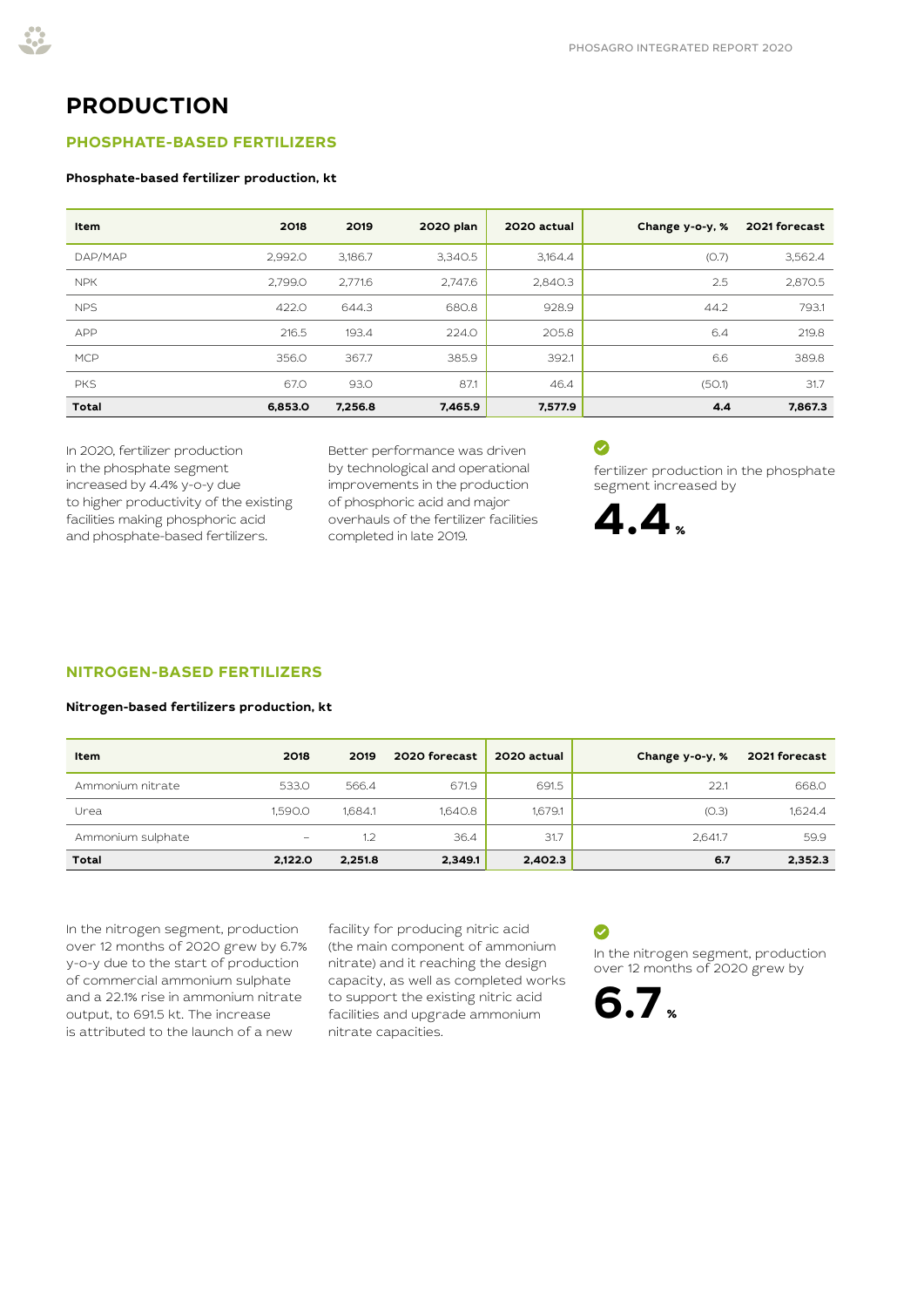# **PRODUCTION**

#### **PHOSPHATE-BASED FERTILIZERS**

#### **Phosphate-based fertilizer production, kt**

| Item         | 2018    | 2019    | 2020 plan | 2020 actual | Change y-o-y, % | 2021 forecast |
|--------------|---------|---------|-----------|-------------|-----------------|---------------|
| DAP/MAP      | 2.992.0 | 3,186.7 | 3,340.5   | 3,164.4     | (O.7)           | 3,562.4       |
| <b>NPK</b>   | 2.799.0 | 2.771.6 | 2,747.6   | 2,840.3     | 2.5             | 2,870.5       |
| <b>NPS</b>   | 422.0   | 644.3   | 680.8     | 928.9       | 44.2            | 793.1         |
| APP          | 216.5   | 193.4   | 224.0     | 205.8       | 6.4             | 219.8         |
| <b>MCP</b>   | 356.0   | 367.7   | 385.9     | 392.1       | 6.6             | 389.8         |
| <b>PKS</b>   | 67.0    | 93.0    | 87.1      | 46.4        | (50.1)          | 31.7          |
| <b>Total</b> | 6.853.0 | 7,256.8 | 7,465.9   | 7,577.9     | 4.4             | 7,867.3       |

In 2020, fertilizer production in the phosphate segment increased by 4.4% y-o-y due to higher productivity of the existing facilities making phosphoric acid and phosphate-based fertilizers.

Better performance was driven by technological and operational improvements in the production of phosphoric acid and major overhauls of the fertilizer facilities completed in late 2019.

### $\bullet$

fertilizer production in the phosphate segment increased by



#### **NITROGEN-BASED FERTILIZERS**

#### **Nitrogen-based fertilizers production, kt**

| Item              | 2018                     | 2019    | 2020 forecast | 2020 actual | Change y-o-y, % | 2021 forecast |
|-------------------|--------------------------|---------|---------------|-------------|-----------------|---------------|
| Ammonium nitrate  | 533.0                    | 566.4   | 671.9         | 691.5       | 22.1            | 668.0         |
| Urea              | 1.590.0                  | 1.684.1 | 1.640.8       | 1.679.1     | (O.3)           | 1.624.4       |
| Ammonium sulphate | $\overline{\phantom{m}}$ | 1.2     | 36.4          | 31.7        | 2.641.7         | 59.9          |
| <b>Total</b>      | 2,122.0                  | 2,251.8 | 2,349.1       | 2,402.3     | 6.7             | 2,352.3       |

In the nitrogen segment, production over 12 months of 2020 grew by 6.7% y-o-y due to the start of production of commercial ammonium sulphate and a 22.1% rise in ammonium nitrate output, to 691.5 kt. The increase is attributed to the launch of a new

facility for producing nitric acid (the main component of ammonium nitrate) and it reaching the design capacity, as well as completed works to support the existing nitric acid facilities and upgrade ammonium nitrate capacities.

# Ø

In the nitrogen segment, production over 12 months of 2020 grew by

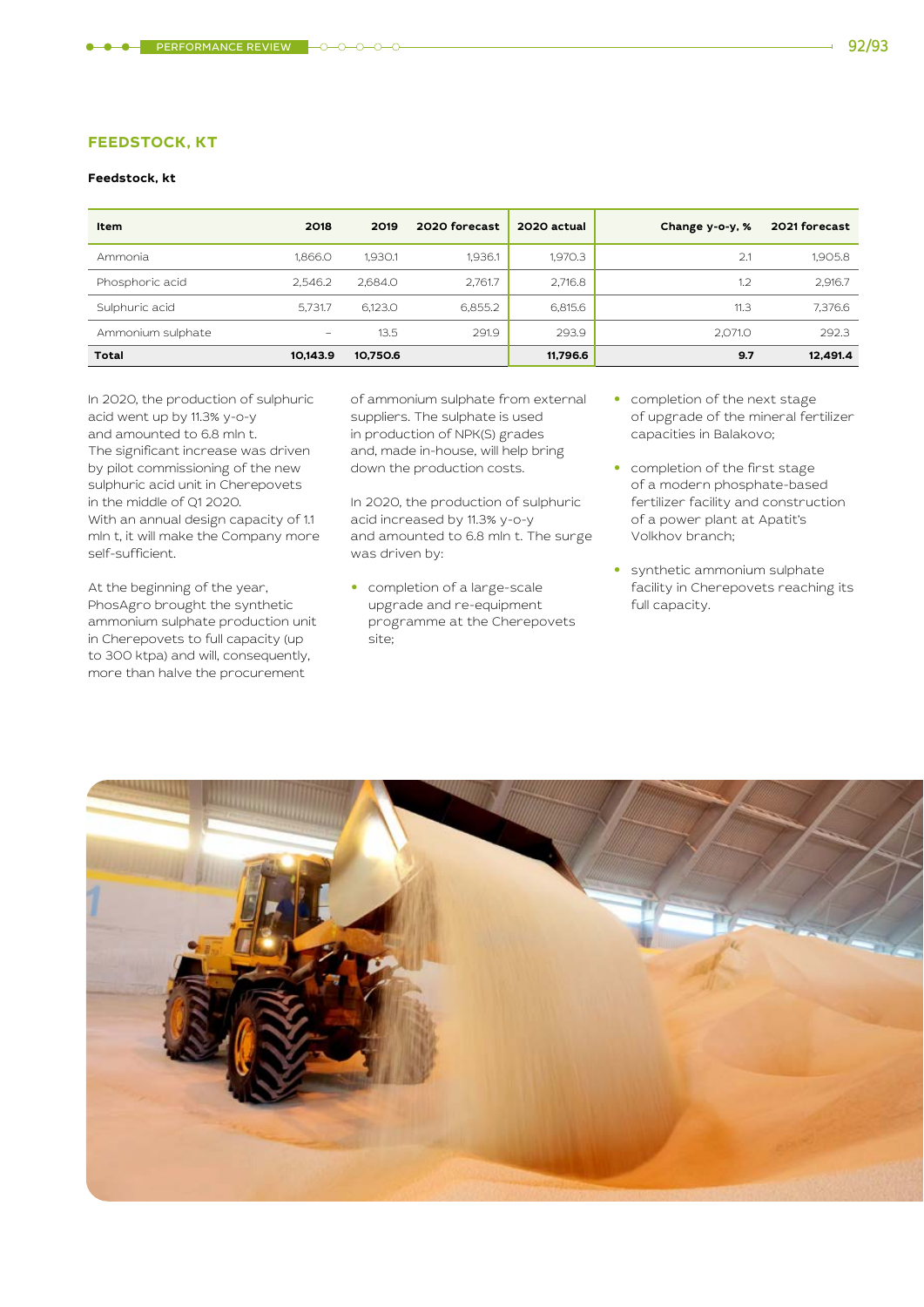#### **FEEDSTOCK, KT**

#### **Feedstock, kt**

| Item              | 2018     | 2019     | 2020 forecast | 2020 actual | Change y-o-y, % | 2021 forecast |
|-------------------|----------|----------|---------------|-------------|-----------------|---------------|
| Ammonia           | 1.866.0  | 1.930.1  | 1.936.1       | 1.970.3     | 2.1             | 1.905.8       |
| Phosphoric acid   | 2.546.2  | 2.684.0  | 2,761.7       | 2,716.8     | 1.2             | 2,916.7       |
| Sulphuric acid    | 5.731.7  | 6.123.0  | 6,855.2       | 6,815.6     | 11.3            | 7,376.6       |
| Ammonium sulphate | -        | 13.5     | 291.9         | 293.9       | 2.071.0         | 292.3         |
| <b>Total</b>      | 10.143.9 | 10.750.6 |               | 11,796.6    | 9.7             | 12.491.4      |

In 2020, the production of sulphuric acid went up by 11.3% y-o-y and amounted to 6.8 mln t. The significant increase was driven by pilot commissioning of the new sulphuric acid unit in Cherepovets in the middle of Q1 2020. With an annual design capacity of 1.1 mln t, it will make the Company more self-sufficient.

At the beginning of the year, PhosAgro brought the synthetic ammonium sulphate production unit in Cherepovets to full capacity (up to 300 ktpa) and will, consequently, more than halve the procurement

of ammonium sulphate from external suppliers. The sulphate is used in production of NPK(S) grades and, made in-house, will help bring down the production costs.

In 2020, the production of sulphuric acid increased by 11.3% y-o-y and amounted to 6.8 mln t. The surge was driven by:

**•** completion of a large-scale upgrade and re-equipment programme at the Cherepovets site;

- **•** completion of the next stage of upgrade of the mineral fertilizer capacities in Balakovo;
- **•** completion of the first stage of a modern phosphate-based fertilizer facility and construction of a power plant at Apatit's Volkhov branch;
- **•** synthetic ammonium sulphate facility in Cherepovets reaching its full capacity.

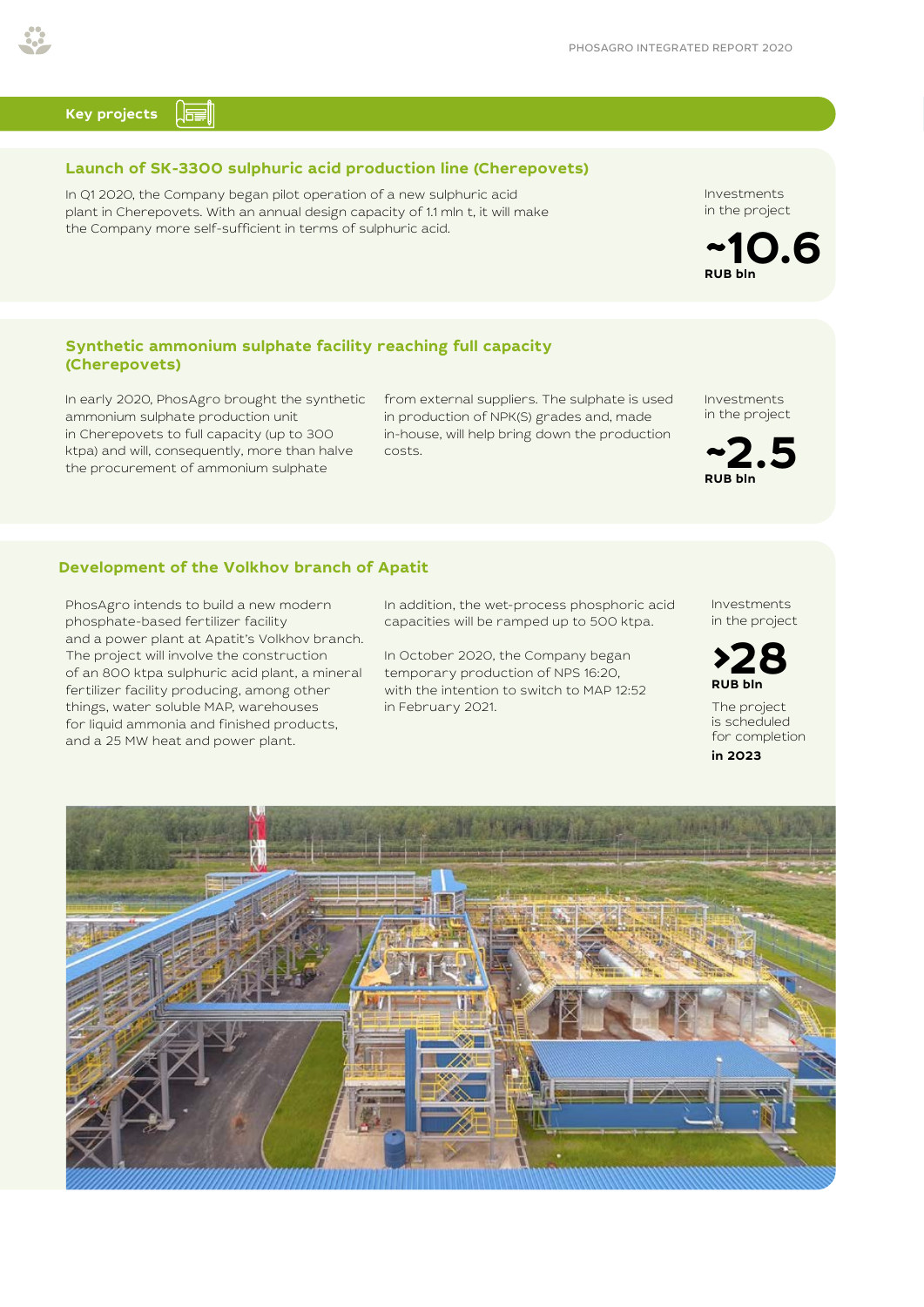#### <u>la j</u> **Key projects**

#### **Launch of SK-3300 sulphuric acid production line (Cherepovets)**

In Q1 2020, the Company began pilot operation of a new sulphuric acid plant in Cherepovets. With an annual design capacity of 1.1 mln t, it will make the Company more self-sufficient in terms of sulphuric acid.

#### **Synthetic ammonium sulphate facility reaching full capacity (Cherepovets)**

In early 2020, PhosAgro brought the synthetic ammonium sulphate production unit in Cherepovets to full capacity (up to 300 ktpa) and will, consequently, more than halve the procurement of ammonium sulphate

from external suppliers. The sulphate is used in production of NPK(S) grades and, made in-house, will help bring down the production costs.

Investments in the project

**~2.5 RUB bln**

#### **Development of the Volkhov branch of Apatit**

PhosAgro intends to build a new modern phosphate-based fertilizer facility and a power plant at Apatit's Volkhov branch. The project will involve the construction of an 800 ktpa sulphuric acid plant, a mineral fertilizer facility producing, among other things, water soluble MAP, warehouses for liquid ammonia and finished products, and a 25 MW heat and power plant.

In addition, the wet-process phosphoric acid capacities will be ramped up to 500 ktpa.

In October 2020, the Company began temporary production of NPS 16:20, with the intention to switch to МАР 12:52 in February 2021.

Investments in the project



The project is scheduled for completion **in 2023**





Investments in the project

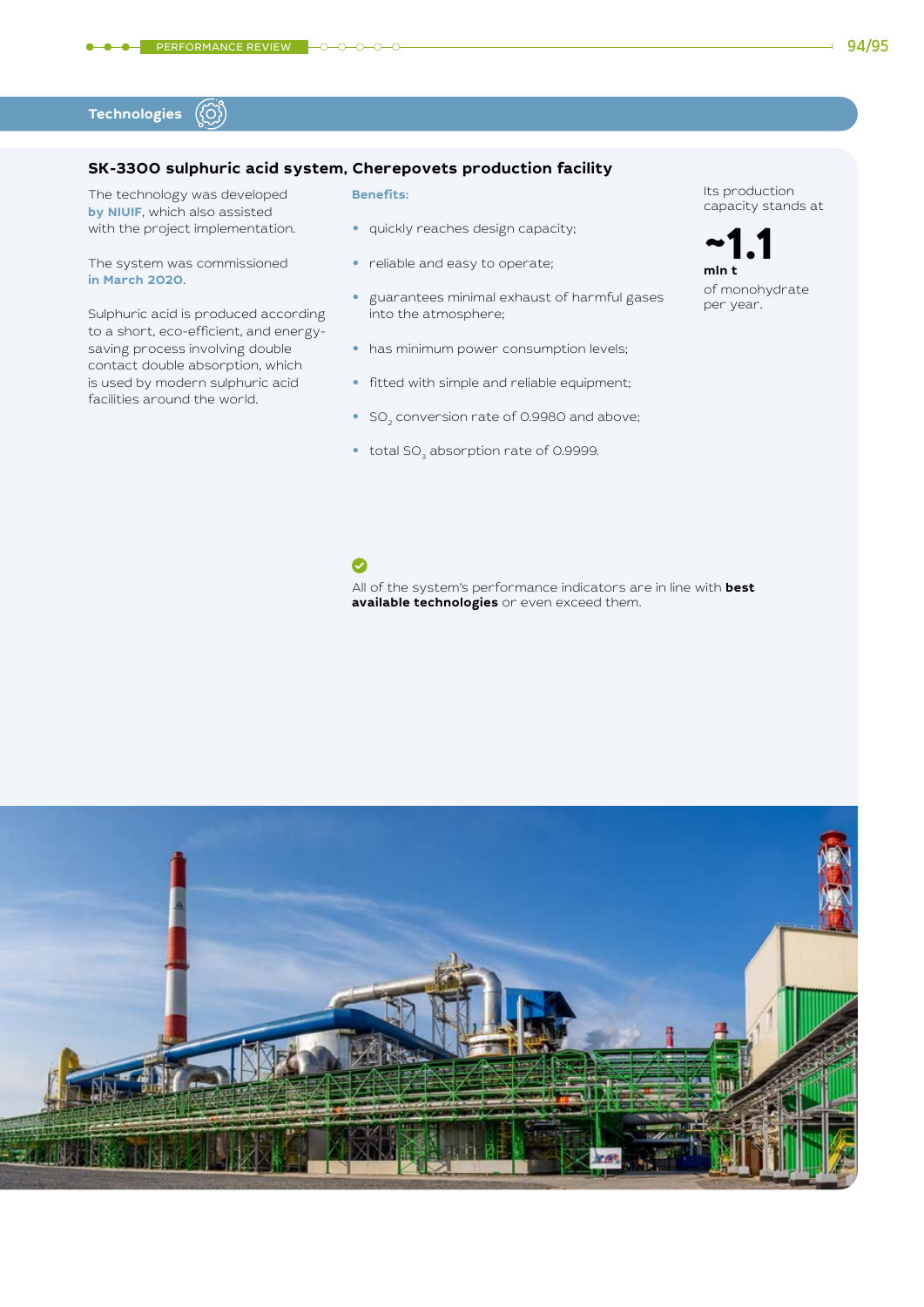#### ({ර}) **Technologies**

#### **SK-3300 sulphuric acid system, Cherepovets production facility**

O

The technology was developed **by NIUIF**, which also assisted with the project implementation.

The system was commissioned **in March 2020**.

Sulphuric acid is produced according to a short, eco-efficient, and energysaving process involving double contact double absorption, which is used by modern sulphuric acid facilities around the world.

#### **Benefits:**

- **•** quickly reaches design capacity;
- **•** reliable and easy to operate;
- **•** guarantees minimal exhaust of harmful gases into the atmosphere;
- **•** has minimum power consumption levels;
- **•** fitted with simple and reliable equipment;
- SO<sub>2</sub> conversion rate of 0.9980 and above;

**available technologies** or even exceed them.

All of the system's performance indicators are in line with **best** 

• total SO<sub>3</sub> absorption rate of 0.9999.

Its production capacity stands at

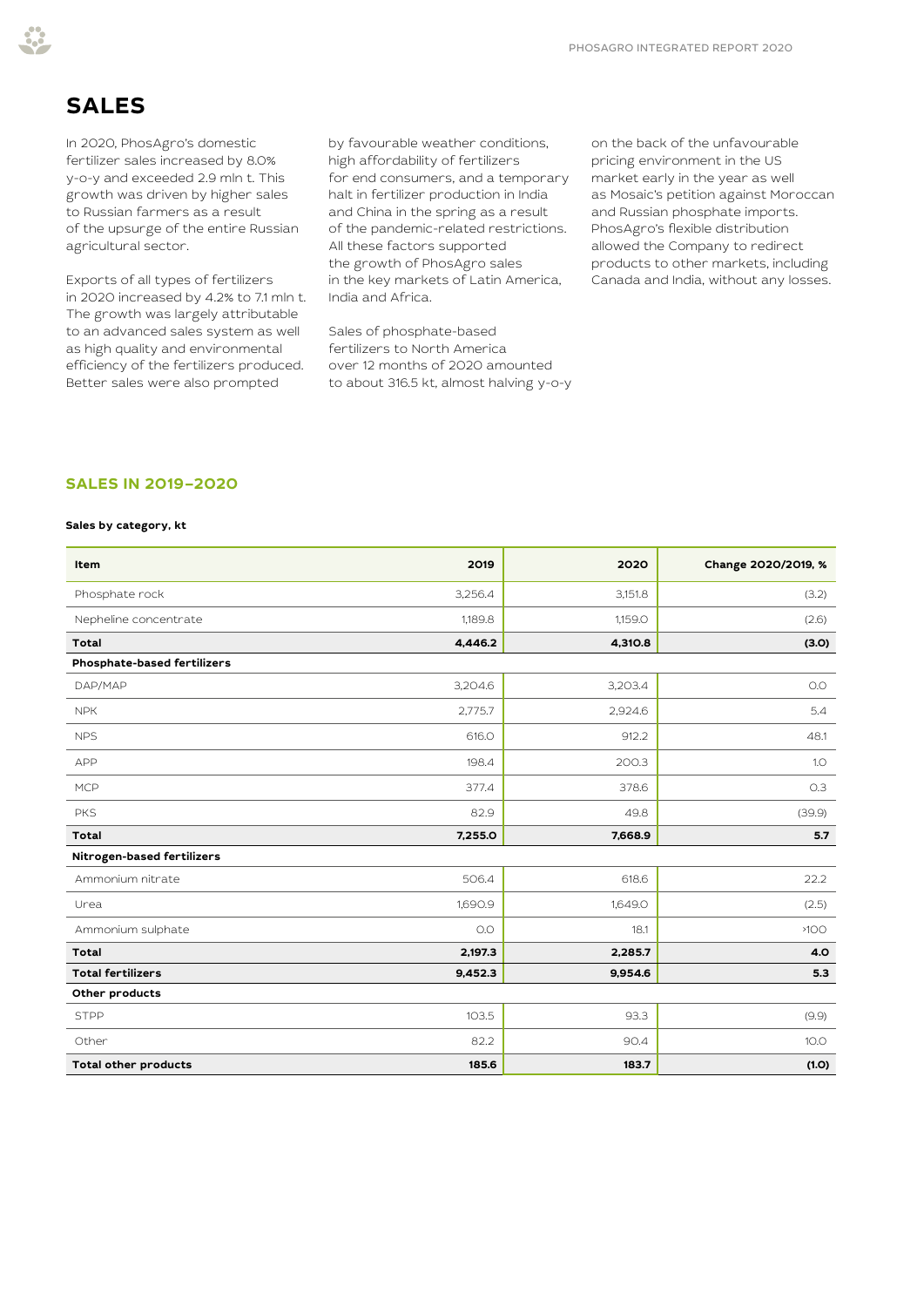# **SALES**

In 2020, PhosAgro's domestic fertilizer sales increased by 8.0% y-o-y and exceeded 2.9 mln t. This growth was driven by higher sales to Russian farmers as a result of the upsurge of the entire Russian agricultural sector.

Exports of all types of fertilizers in 2020 increased by 4.2% to 7.1 mln t. The growth was largely attributable to an advanced sales system as well as high quality and environmental efficiency of the fertilizers produced. Better sales were also prompted

by favourable weather conditions, high affordability of fertilizers for end consumers, and a temporary halt in fertilizer production in India and China in the spring as a result of the pandemic-related restrictions. All these factors supported the growth of PhosAgro sales in the key markets of Latin America, India and Africa.

Sales of phosphate-based fertilizers to North America over 12 months of 2020 amounted to about 316.5 kt, almost halving y-o-y on the back of the unfavourable pricing environment in the US market early in the year as well as Mosaic's petition against Moroccan and Russian phosphate imports. PhosAgro's flexible distribution allowed the Company to redirect products to other markets, including Canada and India, without any losses.

#### **SALES IN 2019–2020**

#### **Sales by category, kt**

| Item                               | 2019    | 2020    | Change 2020/2019, % |
|------------------------------------|---------|---------|---------------------|
| Phosphate rock                     | 3,256.4 | 3,151.8 | (3.2)               |
| Nepheline concentrate              | 1,189.8 | 1,159.0 | (2.6)               |
| <b>Total</b>                       | 4,446.2 | 4,310.8 | (3.0)               |
| <b>Phosphate-based fertilizers</b> |         |         |                     |
| DAP/MAP                            | 3,204.6 | 3,203.4 | O.O                 |
| <b>NPK</b>                         | 2,775.7 | 2,924.6 | 5.4                 |
| <b>NPS</b>                         | 616.O   | 912.2   | 48.1                |
| APP                                | 198.4   | 200.3   | 1.0                 |
| <b>MCP</b>                         | 377.4   | 378.6   | O.3                 |
| <b>PKS</b>                         | 82.9    | 49.8    | (39.9)              |
| <b>Total</b>                       | 7,255.0 | 7,668.9 | 5.7                 |
| Nitrogen-based fertilizers         |         |         |                     |
| Ammonium nitrate                   | 506.4   | 618.6   | 22.2                |
| Urea                               | 1,690.9 | 1,649.0 | (2.5)               |
| Ammonium sulphate                  | O.O     | 18.1    | >100                |
| <b>Total</b>                       | 2,197.3 | 2,285.7 | 4.0                 |
| <b>Total fertilizers</b>           | 9,452.3 | 9,954.6 | 5.3                 |
| Other products                     |         |         |                     |
| <b>STPP</b>                        | 103.5   | 93.3    | (9.9)               |
| Other                              | 82.2    | 90.4    | 10.0                |
| <b>Total other products</b>        | 185.6   | 183.7   | (1.0)               |